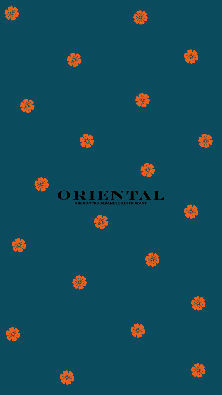







































































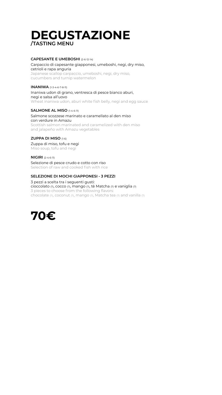### **CAPESANTE E UMEBOSHI** (2-6-12-14)

### Carpaccio di capesante giapponesi, umeboshi, negi, dry miso, cetrioli e rapa anguria

Japanese scallop carpaccio, umeboshi, negi, dry miso, cucumbers and turnip watermelon

### **INANIWA** (1-3-4-6-7-8-11)

#### Inaniwa udon di grano, ventresca di pesce bianco aburi, negi e salsa all'uovo Wheat inaniwa udon, aburi white fish belly, negi and egg sauce

### **SALMONE AL MISO** (1-4-6-11)

### Salmone scozzese marinato e caramellato al den miso con verdure in Amazu Scottish salmon marinated and caramelized with den miso

and jalapeño with Amazu vegetables

### **ZUPPA DI MISO** (1-6)

#### Zuppa di miso, tofu e negi Miso soup, tofu and negi

### **NIGIRI** (2-4-6-11)

#### Selezione di pesce crudo e cotto con riso Selection of raw and cooked fish with rice

### **SELEZIONE DI MOCHI GIAPPONESI - 3 PEZZI**

3 pezzi a scelta tra i seguenti gusti:

cioccolato (7), cocco (7), mango (7), tè Matcha (7) e vaniglia (7) 3 pieces to choose from the following flavors: chocolate (7), coconut (7), mango (7), Matcha tea (7) and vanilla (7)

### **DEGUSTAZIONE /TASTING MENU**

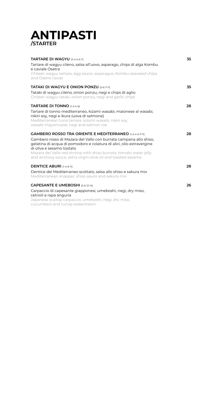| <b>TARTARE DI WAGYU (3-4-5-6-7)</b>                                                                                                                                                                                 | 35 |
|---------------------------------------------------------------------------------------------------------------------------------------------------------------------------------------------------------------------|----|
| Tartare di wagyu cileno, salsa all'uovo, asparago, chips di alga Kombu<br>e caviale Osetra                                                                                                                          |    |
| Chilean wagyu tartare, egg sauce, asparagus, Kombu seaweed chips<br>and Osetra caviar                                                                                                                               |    |
| <b>TATAKI DI WAGYU E ONION PONZU (5-6-7-11)</b>                                                                                                                                                                     | 35 |
| Tataki di wagyu cileno, onion ponzu, negi e chips di aglio<br>Chilean wagyu tataki, onion ponzu, negi and garlic chips                                                                                              |    |
| <b>TARTARE DI TONNO</b> (1-3-4-6)                                                                                                                                                                                   | 28 |
| Tartare di tonno mediterraneo, kizami wasabi, maionese al wasabi,<br>nikiri soy, negi e ikura (uova di salmone)<br>Mediterranean tuna tartare, kizami wasabi, nikiri soy,<br>wasabi mayonnaise, negi and salmon roe |    |
| <b>GAMBERO ROSSO TRA ORIENTE E MEDITERRANEO (1-2-4-6-7-11)</b>                                                                                                                                                      | 28 |
| Gambero rosso di Mazara del Vallo con burrata campana allo shiso,<br>gelatina di acqua di pomodoro e colatura di alici, olio extravergine<br>di oliva e sesamo tostato                                              |    |
| Mazara del Vallo red shrimp with shiso burrata, tomato water jelly<br>and anchovy sauce, extra virgin olive oil and toasted sesame                                                                                  |    |
| <b>DENTICE ABURI</b> (1-4-6-11)                                                                                                                                                                                     | 28 |
| Dentice del Mediterraneo scottato, salsa allo shiso e sakura mix<br>Mediterranean snapper, shiso sauce and sakura mix                                                                                               |    |

#### **CAPESANTE E UMEBOSHI** (2-6-12-14)

Carpaccio di capesante giapponesi, umeboshi, negi, dry miso, cetrioli e rapa anguria

Japanese scallop carpaccio, umeboshi, negi, dry miso, cucumbers and turnip watermelon

### **ANTIPASTI /STARTER**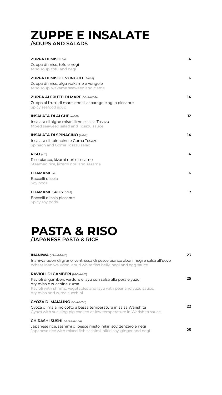### **ZUPPE E INSALATE /SOUPS AND SALADS**

| <b>ZUPPA DI MISO</b> $(1-6)$<br>Zuppa di miso, tofu e negi<br>Miso soup, tofu and negi                                              | 4               |
|-------------------------------------------------------------------------------------------------------------------------------------|-----------------|
| <b>ZUPPA DI MISO E VONGOLE</b> $(1-6-14)$<br>Zuppa di miso, alga wakame e vongole<br>Miso soup, wakame seaweed and clams            | 6               |
| <b>ZUPPA AI FRUTTI DI MARE</b> $(1-2-4-6-11-14)$<br>Zuppa ai frutti di mare, enoki, asparago e aglio piccante<br>Spicy seafood soup | 14              |
| <b>INSALATA DI ALGHE (4-6-11)</b><br>Insalata di alghe miste, lime e salsa Tosazu<br>Mixed seaweed salad and Tosazu sauce           | 12 <sup>°</sup> |
| <b>INSALATA DI SPINACINO (4-6-11)</b><br>Insalata di spinacino e Goma Tosazu<br>Spinach and Goma Tosazu salad                       | 14              |
| <b>RISO</b> $(4-11)$<br>Riso bianco, kizami nori e sesamo<br>Steamed rice, kizami nori and sesame                                   | 4               |
| $EDAMAME$ (6)                                                                                                                       | 6               |

Baccelli di soia Soy pods

**EDAMAME SPICY** (1-3-6) Baccelli di soia piccante Spicy soy pods

| 23 |
|----|
|    |
|    |
| 25 |
|    |
|    |
| 22 |
|    |
| 25 |
|    |

### **PASTA & RISO /JAPANESE PASTA & RICE**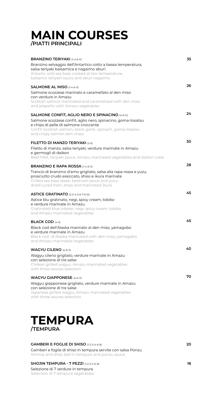| <b>BRANZINO TERIYAKI</b> (1-4-6-11)                                                                      | 35              |
|----------------------------------------------------------------------------------------------------------|-----------------|
| Branzino selvaggio dell'Antartico cotto a bassa temperatura,<br>salsa teriyaki balsamica e nagaimo aburi |                 |
| Antartic wild sea bass cooked at low temperature,                                                        |                 |
| balsamic teriyaki sauce and aburi nagaimo                                                                |                 |
| <b>SALMONE AL MISO</b> (1-4-6-11)                                                                        | 26              |
| Salmone scozzese marinato e caramellato al den miso<br>con verdure in Amazu                              |                 |
| Scottish salmon marinated and caramelized with den miso<br>and jalapeño with Amazu vegetables            |                 |
|                                                                                                          |                 |
| <b>SALMONE CONFIT, AGLIO NERO E SPINACINO (4-6-11)</b>                                                   | 24 <sup>1</sup> |
| Salmone scozzese confit, aglio nero, spinacino, goma-tosatsu<br>e chips di pelle di salmone croccante    |                 |
| Confit Scottish salmon, black garlic, spinach, goma-tosatsu<br>and crispy salmon skin chips              |                 |
|                                                                                                          | 30              |
| <b>FILETTO DI MANZO TERIYAKI</b> (2-6)                                                                   |                 |
| Filetto di manzo, salsa teriyaki, verdure marinate in Amazu<br>e germogli di daikon                      |                 |
| Beef fillet, teriyaki sauce, Amazu marinated vegetables and daikon cress                                 |                 |
| <b>BRANZINO E RAPA ROSSA (1-4-6-11)</b>                                                                  | 28              |
| Trancio di branzino d'amo grigliato, salsa alla rapa rossa e yuzu,                                       |                 |
| prosciutto crudo essiccato, shiso e ikura marinate                                                       |                 |

| 45 |
|----|
|    |
|    |
| 45 |
|    |
|    |
| 40 |
|    |
|    |
| 70 |
|    |
|    |
|    |

Grilled sea bass steak, beetroot sauce and yuzu, dried cured ham, shiso and marinated ikura

## **MAIN COURSES /PIATTI PRINCIPALI**

### **TEMPURA /TEMPURA**

**20**

**18**

### **GAMBERI E FOGLIE DI SHISO** (1-2-3-4-6-8)

Gamberi e foglie di shiso in tempura servite con salsa Ponzu Shrimp and shiso leaf in tempura and ponzu sauce

### **SHOJIN TEMPURA - 7 PEZZI** (1-2-3-4-6-8)

Selezione di 7 verdure in tempura

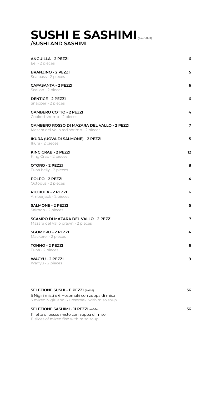### **SUSHI E SASHIMI** (2-4-6-11-14) **/SUSHI AND SASHIMI**

| <b>ANGUILLA - 2 PEZZI</b><br>Eel - 2 pieces                                                  | 6               |
|----------------------------------------------------------------------------------------------|-----------------|
| <b>BRANZINO - 2 PEZZI</b><br>Sea bass - 2 pieces                                             | 5               |
| <b>CAPASANTA - 2 PEZZI</b><br>Scallop - 2 pieces                                             | 6               |
| <b>DENTICE - 2 PEZZI</b><br>Snapper - 2 pieces                                               | 6               |
| <b>GAMBERO COTTO - 2 PEZZI</b><br>Cooked shrimp - 2 pieces                                   | 4               |
| <b>GAMBERO ROSSO DI MAZARA DEL VALLO - 2 PEZZI</b><br>Mazara del Vallo red shrimp - 2 pieces | 7               |
| IKURA (UOVA DI SALMONE) - 2 PEZZI<br>Ikura - 2 pieces                                        | 5               |
| <b>KING CRAB - 2 PEZZI</b><br>King Crab - 2 pieces                                           | 12 <sub>2</sub> |
| <b>OTORO - 2 PEZZI</b><br>Tuna belly - 2 pieces                                              | 8               |
| <b>POLPO - 2 PEZZI</b>                                                                       | 4               |

| <b>RICCIOLA - 2 PEZZI</b><br>Amberjack - 2 pieces                                | 6              |
|----------------------------------------------------------------------------------|----------------|
| <b>SALMONE - 2 PEZZI</b><br>Salmon - 2 pieces                                    | 5              |
| <b>SCAMPO DI MAZARA DEL VALLO - 2 PEZZI</b><br>Mazara del Vallo prawn - 2 pieces | 7              |
| <b>SGOMBRO - 2 PEZZI</b><br>Mackerel - 2 pieces                                  | $\overline{4}$ |
| <b>TONNO - 2 PEZZI</b><br>Tuna - 2 pieces                                        | 6              |
| <b>WAGYU - 2 PEZZI</b><br>Wagyu - 2 pieces                                       | 9              |
|                                                                                  |                |

Octopus - 2 pieces

| <b>SELEZIONE SUSHI - 11 PEZZI (4-6-14)</b>                                                    | 36 |
|-----------------------------------------------------------------------------------------------|----|
| 5 Nigiri misti e 6 Hosomaki con zuppa di miso<br>5 mixed Nigiri and 6 Hosomaki with miso soup |    |
| <b>SELEZIONE SASHIMI - 11 PEZZI (4-6-14)</b>                                                  | 36 |
| Il fette di pesce misto con zuppa di miso                                                     |    |
| If slices of mixed fish with miso soup                                                        |    |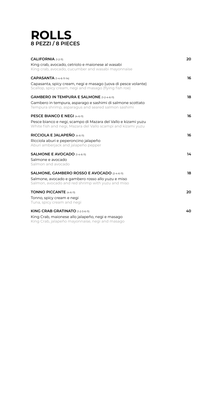### **ROLLS 8 PEZZI / 8 PIECES**

| <b>CALIFORNIA</b> (1-2-11)                                                                                               | 20 |
|--------------------------------------------------------------------------------------------------------------------------|----|
| King crab, avocado, cetriolo e maionese al wasabi                                                                        |    |
| King crab, avocado, cucumber and wasabi mayonnaise                                                                       |    |
| <b>CAPASANTA</b> $(1-4-6-11-14)$                                                                                         | 16 |
| Capasanta, spicy cream, negi e masago (uova di pesce volante)<br>Scallop, spicy cream, negi and masago (flying fish roe) |    |
| <b>GAMBERO IN TEMPURA E SALMONE</b> (1-2-4-6-11)                                                                         | 18 |
| Gambero in tempura, asparago e sashimi di salmone scottato                                                               |    |
| Tempura shrimp, asparagus and seared salmon sashimi                                                                      |    |
| <b>PESCE BIANCO E NEGI (4-6-11)</b>                                                                                      | 16 |
| Pesce bianco e negi, scampo di Mazara del Vallo e kizami yuzu                                                            |    |
| White fish and negi, Mazara del Vallo scampi and kizami yuzu                                                             |    |
| RICCIOLA E JALAPEÑO (4-6-11)                                                                                             | 16 |
| Ricciola aburi e peperoncino jalapeño                                                                                    |    |
| Aburi amberjack and jalapeño pepper                                                                                      |    |
| <b>SALMONE E AVOCADO (1-4-6-11)</b>                                                                                      | 14 |
| Salmone e avocado                                                                                                        |    |
| Salmon and avocado                                                                                                       |    |
| <b>SALMONE, GAMBERO ROSSO E AVOCADO (2-4-6-11)</b>                                                                       | 18 |
| Salmone, avocado e gambero rosso allo yuzu e miso                                                                        |    |

#### **40 KING CRAB GRATINATO** (1-2-3-6-11) King Crab, maionese allo jalapeño, negi e masago

Salmon, avocado and red shrimp with yuzu and miso

### **TONNO PICCANTE** (4-6-11)

Tonno, spicy cream e negi Tuna, spicy cream and negi

King Crab, jalapeño mayonnaise, negi and masago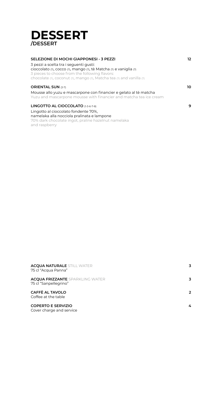| <b>ACQUA NATURALE STILL WATER</b><br>75 cl "Acqua Panna"        | $\overline{\mathbf{3}}$ |
|-----------------------------------------------------------------|-------------------------|
| <b>ACQUA FRIZZANTE</b> SPARKLING WATER<br>75 cl "Sanpellegrino" | 3                       |
| <b>CAFFÈ AL TAVOLO</b><br>Coffee at the table                   | 2 <sup>1</sup>          |
| <b>COPERTO E SERVIZIO</b>                                       | 4                       |

Cover charge and service



| <b>SELEZIONE DI MOCHI GIAPPONESI - 3 PEZZI</b>                                                                                          | 12 |
|-----------------------------------------------------------------------------------------------------------------------------------------|----|
| 3 pezzi a scelta tra i seguenti gusti:                                                                                                  |    |
| cioccolato (7), cocco (7), mango (7), tè Matcha (7) e vaniglia (7)                                                                      |    |
| 3 pieces to choose from the following flavors:<br>chocolate (7), coconut (7), mango (7), Matcha tea (7) and vanilla (7)                 |    |
|                                                                                                                                         |    |
| <b>ORIENTAL SUN (3-7)</b>                                                                                                               | 10 |
| Mousse allo yuzu e mascarpone con financier e gelato al tè matcha<br>Yuzu and mascarpone mousse with financier and matcha tea ice cream |    |
| LINGOTTO AL CIOCCOLATO (1-3-6-7-8)                                                                                                      | 9  |
| Lingotto al cioccolato fondente 70%,                                                                                                    |    |
| namelaka alla nocciola pralinata e lampone                                                                                              |    |
| 70% dark chocolate ingot, praline hazelnut namelaka<br>and raspberry                                                                    |    |
|                                                                                                                                         |    |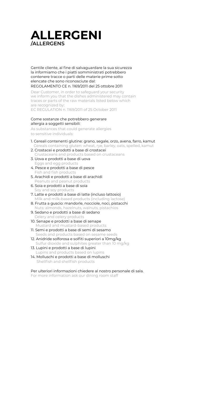Gentile cliente, al fine di salvaguardare la sua sicurezza la informiamo che i piatti somministrati potrebbero contenere tracce o parti delle materie prime sotto elencate che sono riconosciute dal:

REGOLAMENTO CE n. 1169/2011 del 25 ottobre 2011

Dear Customer, in order to safeguard your security we inform you that the dishes administered may contain traces or parts of the raw materials listed below which are recognized by:

EC REGULATION n. 1169/2011 of 25 October 2011

#### Come sostanze che potrebbero generare allergia a soggetti sensibili:

As substances that could generate allergies to sensitive individuals:

### 1. Cereali contenenti glutine: grano, segale, orzo, avena, farro, kamut

Cereals containing gluten: wheat, rye, barley, oats, spelled, kamut

- 2. Crostacei e prodotti a base di crostacei
- Crustaceans and products based on crustaceans 3. Uova e prodotti a base di uova
	- Eggs and egg products
- 4. Pesce e prodotti a base di pesce Fish and fish products
- 5. Arachidi e prodotti a base di arachidi Peanuts and peanut products
- 
- 6. Soia e prodotti a base di soia Soy and soy products
- 7. Latte e prodotti a base di latte (incluso lattosio) Milk and milk-based products (including lactose)
- 8. Frutta a guscio: mandorle, nocciole, noci, pistacchi Nuts: almonds, hazelnuts, walnuts, pistachios
- 9. Sedano e prodotti a base di sedano Celery and celery products
- 10. Senape e prodotti a base di senape Mustard and mustard-based products
- 11. Semi e prodotti a base di semi di sesamo Seeds and products based on sesame seeds
- 12. Anidride solforosa e solfiti superiori a 10mg/kg Sulfur dioxide and sulphites greater than 10 mg/kg
- 13. Lupini e prodotti a base di lupini Lupins and products based on lupins
- 14. Molluschi e prodotti a base di molluschi Shellfish and shellfish products

### Per ulteriori informazioni chiedere al nostro personale di sala.

For more information ask our dining room staff

### **ALLERGENI /ALLERGENS**